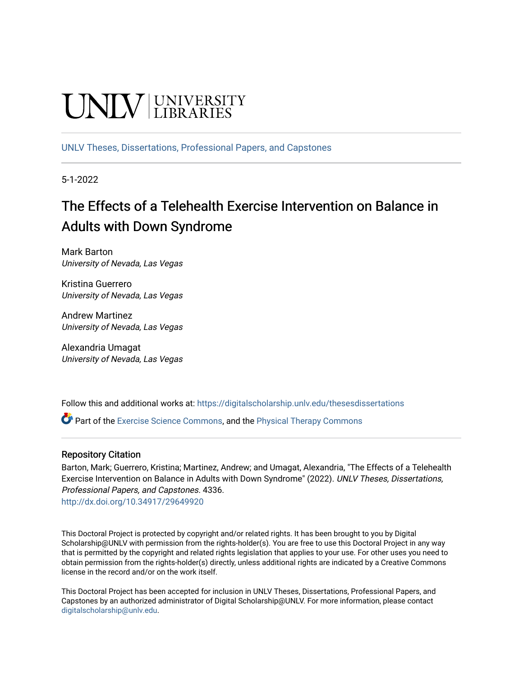# **UNIVERSITY**

[UNLV Theses, Dissertations, Professional Papers, and Capstones](https://digitalscholarship.unlv.edu/thesesdissertations)

5-1-2022

## The Effects of a Telehealth Exercise Intervention on Balance in Adults with Down Syndrome

Mark Barton University of Nevada, Las Vegas

Kristina Guerrero University of Nevada, Las Vegas

Andrew Martinez University of Nevada, Las Vegas

Alexandria Umagat University of Nevada, Las Vegas

Follow this and additional works at: [https://digitalscholarship.unlv.edu/thesesdissertations](https://digitalscholarship.unlv.edu/thesesdissertations?utm_source=digitalscholarship.unlv.edu%2Fthesesdissertations%2F4336&utm_medium=PDF&utm_campaign=PDFCoverPages)

Part of the [Exercise Science Commons](https://network.bepress.com/hgg/discipline/1091?utm_source=digitalscholarship.unlv.edu%2Fthesesdissertations%2F4336&utm_medium=PDF&utm_campaign=PDFCoverPages), and the [Physical Therapy Commons](https://network.bepress.com/hgg/discipline/754?utm_source=digitalscholarship.unlv.edu%2Fthesesdissertations%2F4336&utm_medium=PDF&utm_campaign=PDFCoverPages) 

### Repository Citation

Barton, Mark; Guerrero, Kristina; Martinez, Andrew; and Umagat, Alexandria, "The Effects of a Telehealth Exercise Intervention on Balance in Adults with Down Syndrome" (2022). UNLV Theses, Dissertations, Professional Papers, and Capstones. 4336.

<http://dx.doi.org/10.34917/29649920>

This Doctoral Project is protected by copyright and/or related rights. It has been brought to you by Digital Scholarship@UNLV with permission from the rights-holder(s). You are free to use this Doctoral Project in any way that is permitted by the copyright and related rights legislation that applies to your use. For other uses you need to obtain permission from the rights-holder(s) directly, unless additional rights are indicated by a Creative Commons license in the record and/or on the work itself.

This Doctoral Project has been accepted for inclusion in UNLV Theses, Dissertations, Professional Papers, and Capstones by an authorized administrator of Digital Scholarship@UNLV. For more information, please contact [digitalscholarship@unlv.edu](mailto:digitalscholarship@unlv.edu).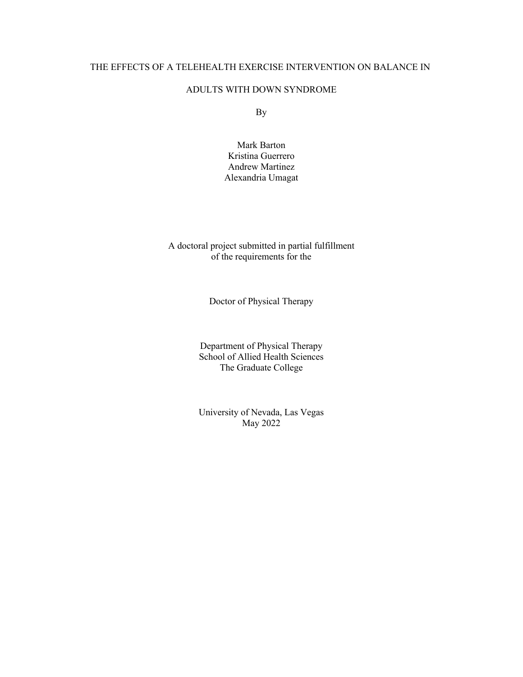#### THE EFFECTS OF A TELEHEALTH EXERCISE INTERVENTION ON BALANCE IN

#### ADULTS WITH DOWN SYNDROME

By

Mark Barton Kristina Guerrero Andrew Martinez Alexandria Umagat

A doctoral project submitted in partial fulfillment of the requirements for the

Doctor of Physical Therapy

Department of Physical Therapy School of Allied Health Sciences The Graduate College

University of Nevada, Las Vegas May 2022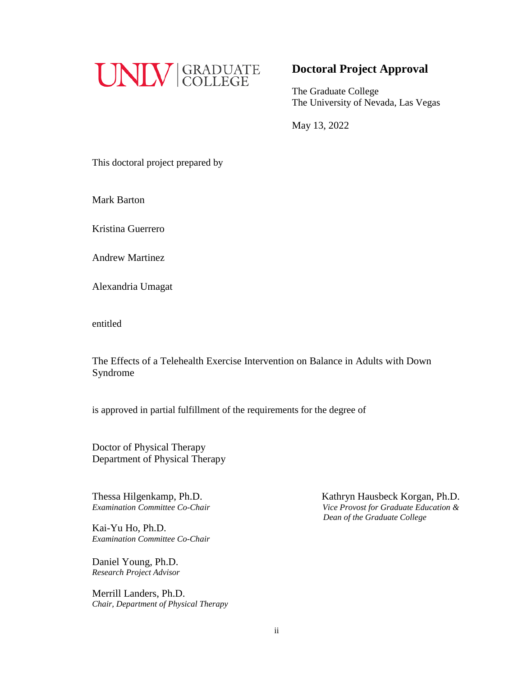

### **Doctoral Project Approval**

The Graduate College The University of Nevada, Las Vegas

May 13, 2022

This doctoral project prepared by

Mark Barton

Kristina Guerrero

Andrew Martinez

Alexandria Umagat

entitled

The Effects of a Telehealth Exercise Intervention on Balance in Adults with Down Syndrome

is approved in partial fulfillment of the requirements for the degree of

Doctor of Physical Therapy Department of Physical Therapy

Kai-Yu Ho, Ph.D. *Examination Committee Co-Chair*

Daniel Young, Ph.D. *Research Project Advisor*

Merrill Landers, Ph.D. *Chair, Department of Physical Therapy*

Thessa Hilgenkamp, Ph.D.<br> *Examination Committee Co-Chair*<br> *Vice Provost for Graduate Education & Figure Provost for Graduate Education & Dean of the Graduate College*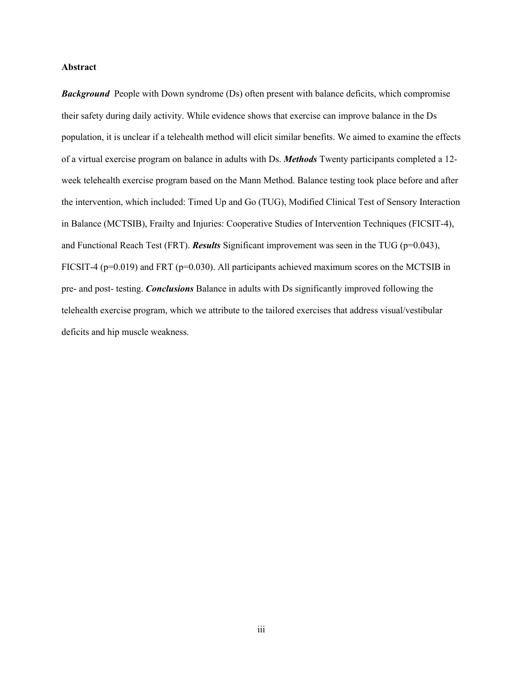#### **Abstract**

**Background** People with Down syndrome (Ds) often present with balance deficits, which compromise their safety during daily activity. While evidence shows that exercise can improve balance in the Ds population, it is unclear if a telehealth method will elicit similar benefits. We aimed to examine the effects of a virtual exercise program on balance in adults with Ds. *Methods* Twenty participants completed a 12 week telehealth exercise program based on the Mann Method. Balance testing took place before and after the intervention, which included: Timed Up and Go (TUG), Modified Clinical Test of Sensory Interaction in Balance (MCTSIB), Frailty and Injuries: Cooperative Studies of Intervention Techniques (FICSIT-4), and Functional Reach Test (FRT). *Results* Significant improvement was seen in the TUG (p=0.043), FICSIT-4 ( $p=0.019$ ) and FRT ( $p=0.030$ ). All participants achieved maximum scores on the MCTSIB in pre- and post- testing. *Conclusions* Balance in adults with Ds significantly improved following the telehealth exercise program, which we attribute to the tailored exercises that address visual/vestibular deficits and hip muscle weakness.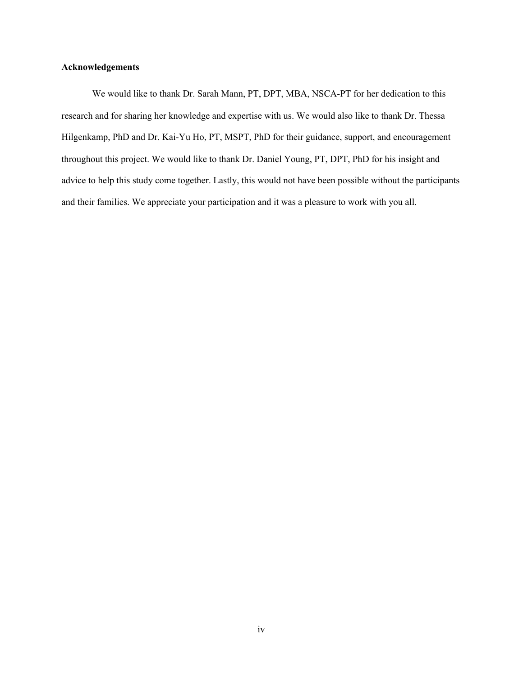#### **Acknowledgements**

We would like to thank Dr. Sarah Mann, PT, DPT, MBA, NSCA-PT for her dedication to this research and for sharing her knowledge and expertise with us. We would also like to thank Dr. Thessa Hilgenkamp, PhD and Dr. Kai-Yu Ho, PT, MSPT, PhD for their guidance, support, and encouragement throughout this project. We would like to thank Dr. Daniel Young, PT, DPT, PhD for his insight and advice to help this study come together. Lastly, this would not have been possible without the participants and their families. We appreciate your participation and it was a pleasure to work with you all.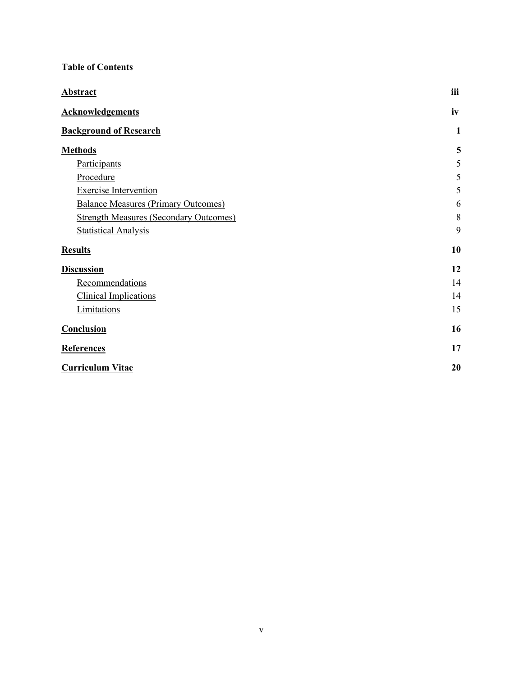### **Table of Contents**

| <b>Abstract</b>                               | iii          |
|-----------------------------------------------|--------------|
| <b>Acknowledgements</b>                       | iv           |
| <b>Background of Research</b>                 | $\mathbf{1}$ |
| <b>Methods</b>                                | 5            |
| Participants                                  | 5            |
| Procedure                                     | 5            |
| <b>Exercise Intervention</b>                  | 5            |
| <b>Balance Measures (Primary Outcomes)</b>    | 6            |
| <b>Strength Measures (Secondary Outcomes)</b> | 8            |
| <b>Statistical Analysis</b>                   | 9            |
| <b>Results</b>                                | 10           |
| <b>Discussion</b>                             | 12           |
| Recommendations                               | 14           |
| <b>Clinical Implications</b>                  | 14           |
| Limitations                                   | 15           |
| Conclusion                                    | 16           |
| <b>References</b>                             | 17           |
| <b>Curriculum Vitae</b>                       | 20           |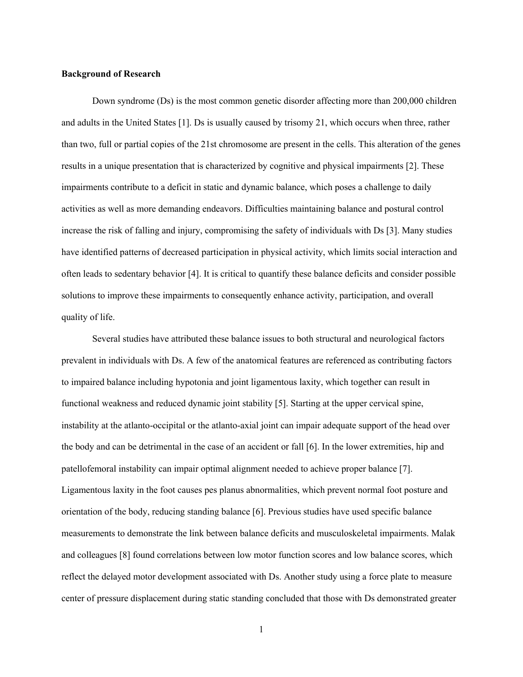#### **Background of Research**

Down syndrome (Ds) is the most common genetic disorder affecting more than 200,000 children and adults in the United States [1]. Ds is usually caused by trisomy 21, which occurs when three, rather than two, full or partial copies of the 21st chromosome are present in the cells. This alteration of the genes results in a unique presentation that is characterized by cognitive and physical impairments [2]. These impairments contribute to a deficit in static and dynamic balance, which poses a challenge to daily activities as well as more demanding endeavors. Difficulties maintaining balance and postural control increase the risk of falling and injury, compromising the safety of individuals with Ds [3]. Many studies have identified patterns of decreased participation in physical activity, which limits social interaction and often leads to sedentary behavior [4]. It is critical to quantify these balance deficits and consider possible solutions to improve these impairments to consequently enhance activity, participation, and overall quality of life.

Several studies have attributed these balance issues to both structural and neurological factors prevalent in individuals with Ds. A few of the anatomical features are referenced as contributing factors to impaired balance including hypotonia and joint ligamentous laxity, which together can result in functional weakness and reduced dynamic joint stability [5]. Starting at the upper cervical spine, instability at the atlanto-occipital or the atlanto-axial joint can impair adequate support of the head over the body and can be detrimental in the case of an accident or fall [6]. In the lower extremities, hip and patellofemoral instability can impair optimal alignment needed to achieve proper balance [7]. Ligamentous laxity in the foot causes pes planus abnormalities, which prevent normal foot posture and orientation of the body, reducing standing balance [6]. Previous studies have used specific balance measurements to demonstrate the link between balance deficits and musculoskeletal impairments. Malak and colleagues [8] found correlations between low motor function scores and low balance scores, which reflect the delayed motor development associated with Ds. Another study using a force plate to measure center of pressure displacement during static standing concluded that those with Ds demonstrated greater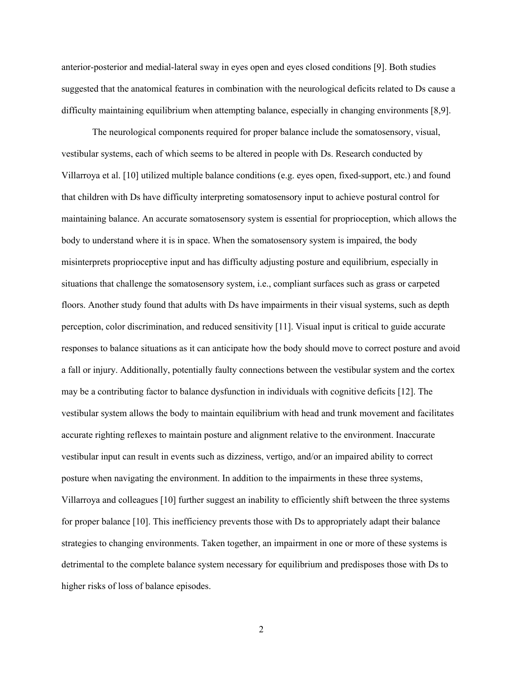anterior-posterior and medial-lateral sway in eyes open and eyes closed conditions [9]. Both studies suggested that the anatomical features in combination with the neurological deficits related to Ds cause a difficulty maintaining equilibrium when attempting balance, especially in changing environments [8,9].

The neurological components required for proper balance include the somatosensory, visual, vestibular systems, each of which seems to be altered in people with Ds. Research conducted by Villarroya et al. [10] utilized multiple balance conditions (e.g. eyes open, fixed-support, etc.) and found that children with Ds have difficulty interpreting somatosensory input to achieve postural control for maintaining balance. An accurate somatosensory system is essential for proprioception, which allows the body to understand where it is in space. When the somatosensory system is impaired, the body misinterprets proprioceptive input and has difficulty adjusting posture and equilibrium, especially in situations that challenge the somatosensory system, i.e., compliant surfaces such as grass or carpeted floors. Another study found that adults with Ds have impairments in their visual systems, such as depth perception, color discrimination, and reduced sensitivity [11]. Visual input is critical to guide accurate responses to balance situations as it can anticipate how the body should move to correct posture and avoid a fall or injury. Additionally, potentially faulty connections between the vestibular system and the cortex may be a contributing factor to balance dysfunction in individuals with cognitive deficits [12]. The vestibular system allows the body to maintain equilibrium with head and trunk movement and facilitates accurate righting reflexes to maintain posture and alignment relative to the environment. Inaccurate vestibular input can result in events such as dizziness, vertigo, and/or an impaired ability to correct posture when navigating the environment. In addition to the impairments in these three systems, Villarroya and colleagues [10] further suggest an inability to efficiently shift between the three systems for proper balance [10]. This inefficiency prevents those with Ds to appropriately adapt their balance strategies to changing environments. Taken together, an impairment in one or more of these systems is detrimental to the complete balance system necessary for equilibrium and predisposes those with Ds to higher risks of loss of balance episodes.

2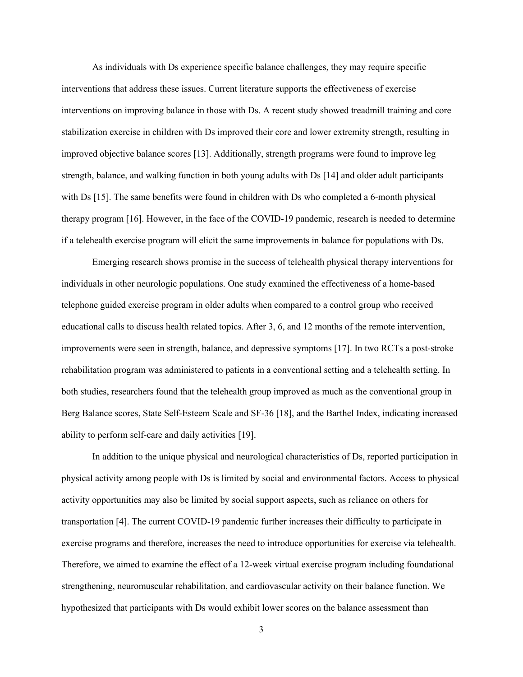As individuals with Ds experience specific balance challenges, they may require specific interventions that address these issues. Current literature supports the effectiveness of exercise interventions on improving balance in those with Ds. A recent study showed treadmill training and core stabilization exercise in children with Ds improved their core and lower extremity strength, resulting in improved objective balance scores [13]. Additionally, strength programs were found to improve leg strength, balance, and walking function in both young adults with Ds [14] and older adult participants with Ds [15]. The same benefits were found in children with Ds who completed a 6-month physical therapy program [16]. However, in the face of the COVID-19 pandemic, research is needed to determine if a telehealth exercise program will elicit the same improvements in balance for populations with Ds.

Emerging research shows promise in the success of telehealth physical therapy interventions for individuals in other neurologic populations. One study examined the effectiveness of a home-based telephone guided exercise program in older adults when compared to a control group who received educational calls to discuss health related topics. After 3, 6, and 12 months of the remote intervention, improvements were seen in strength, balance, and depressive symptoms [17]. In two RCTs a post-stroke rehabilitation program was administered to patients in a conventional setting and a telehealth setting. In both studies, researchers found that the telehealth group improved as much as the conventional group in Berg Balance scores, State Self-Esteem Scale and SF-36 [18], and the Barthel Index, indicating increased ability to perform self-care and daily activities [19].

In addition to the unique physical and neurological characteristics of Ds, reported participation in physical activity among people with Ds is limited by social and environmental factors. Access to physical activity opportunities may also be limited by social support aspects, such as reliance on others for transportation [4]. The current COVID-19 pandemic further increases their difficulty to participate in exercise programs and therefore, increases the need to introduce opportunities for exercise via telehealth. Therefore, we aimed to examine the effect of a 12-week virtual exercise program including foundational strengthening, neuromuscular rehabilitation, and cardiovascular activity on their balance function. We hypothesized that participants with Ds would exhibit lower scores on the balance assessment than

3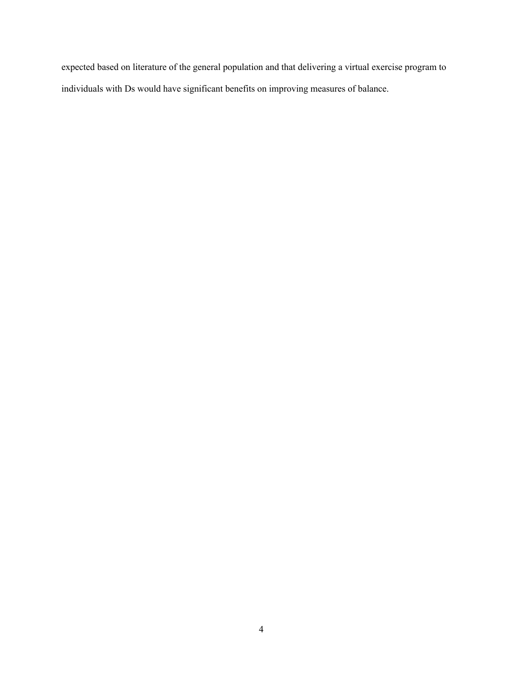expected based on literature of the general population and that delivering a virtual exercise program to individuals with Ds would have significant benefits on improving measures of balance.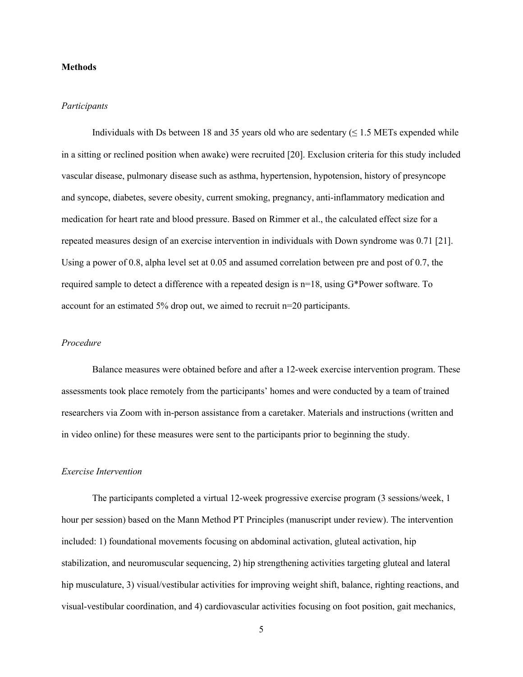#### **Methods**

#### *Participants*

Individuals with Ds between 18 and 35 years old who are sedentary ( $\leq$  1.5 METs expended while in a sitting or reclined position when awake) were recruited [20]. Exclusion criteria for this study included vascular disease, pulmonary disease such as asthma, hypertension, hypotension, history of presyncope and syncope, diabetes, severe obesity, current smoking, pregnancy, anti-inflammatory medication and medication for heart rate and blood pressure. Based on Rimmer et al., the calculated effect size for a repeated measures design of an exercise intervention in individuals with Down syndrome was 0.71 [21]. Using a power of 0.8, alpha level set at 0.05 and assumed correlation between pre and post of 0.7, the required sample to detect a difference with a repeated design is n=18, using G\*Power software. To account for an estimated 5% drop out, we aimed to recruit n=20 participants.

#### *Procedure*

Balance measures were obtained before and after a 12-week exercise intervention program. These assessments took place remotely from the participants' homes and were conducted by a team of trained researchers via Zoom with in-person assistance from a caretaker. Materials and instructions (written and in video online) for these measures were sent to the participants prior to beginning the study.

#### *Exercise Intervention*

The participants completed a virtual 12-week progressive exercise program (3 sessions/week, 1 hour per session) based on the Mann Method PT Principles (manuscript under review). The intervention included: 1) foundational movements focusing on abdominal activation, gluteal activation, hip stabilization, and neuromuscular sequencing, 2) hip strengthening activities targeting gluteal and lateral hip musculature, 3) visual/vestibular activities for improving weight shift, balance, righting reactions, and visual-vestibular coordination, and 4) cardiovascular activities focusing on foot position, gait mechanics,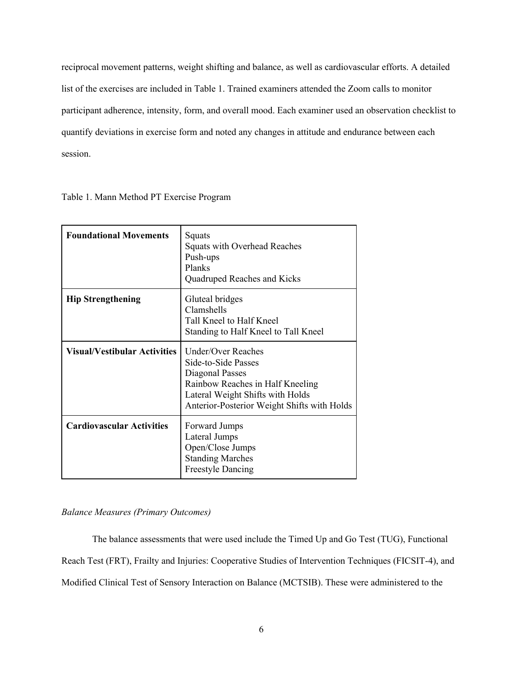reciprocal movement patterns, weight shifting and balance, as well as cardiovascular efforts. A detailed list of the exercises are included in Table 1. Trained examiners attended the Zoom calls to monitor participant adherence, intensity, form, and overall mood. Each examiner used an observation checklist to quantify deviations in exercise form and noted any changes in attitude and endurance between each session.

Table 1. Mann Method PT Exercise Program

| <b>Foundational Movements</b>       | Squats<br>Squats with Overhead Reaches<br>Push-ups<br>Planks<br>Quadruped Reaches and Kicks                                                                                                |
|-------------------------------------|--------------------------------------------------------------------------------------------------------------------------------------------------------------------------------------------|
| <b>Hip Strengthening</b>            | Gluteal bridges<br>Clamshells<br>Tall Kneel to Half Kneel<br>Standing to Half Kneel to Tall Kneel                                                                                          |
| <b>Visual/Vestibular Activities</b> | <b>Under/Over Reaches</b><br>Side-to-Side Passes<br>Diagonal Passes<br>Rainbow Reaches in Half Kneeling<br>Lateral Weight Shifts with Holds<br>Anterior-Posterior Weight Shifts with Holds |
| <b>Cardiovascular Activities</b>    | Forward Jumps<br>Lateral Jumps<br>Open/Close Jumps<br><b>Standing Marches</b><br><b>Freestyle Dancing</b>                                                                                  |

#### *Balance Measures (Primary Outcomes)*

The balance assessments that were used include the Timed Up and Go Test (TUG), Functional Reach Test (FRT), Frailty and Injuries: Cooperative Studies of Intervention Techniques (FICSIT-4), and Modified Clinical Test of Sensory Interaction on Balance (MCTSIB). These were administered to the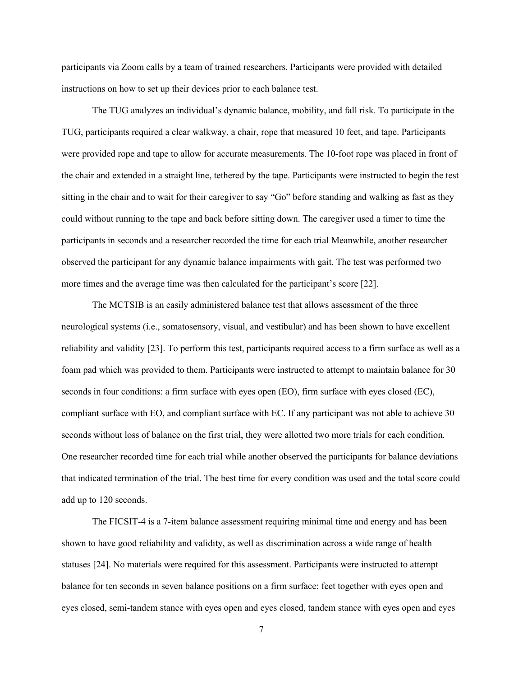participants via Zoom calls by a team of trained researchers. Participants were provided with detailed instructions on how to set up their devices prior to each balance test.

The TUG analyzes an individual's dynamic balance, mobility, and fall risk. To participate in the TUG, participants required a clear walkway, a chair, rope that measured 10 feet, and tape. Participants were provided rope and tape to allow for accurate measurements. The 10-foot rope was placed in front of the chair and extended in a straight line, tethered by the tape. Participants were instructed to begin the test sitting in the chair and to wait for their caregiver to say "Go" before standing and walking as fast as they could without running to the tape and back before sitting down. The caregiver used a timer to time the participants in seconds and a researcher recorded the time for each trial Meanwhile, another researcher observed the participant for any dynamic balance impairments with gait. The test was performed two more times and the average time was then calculated for the participant's score [22].

The MCTSIB is an easily administered balance test that allows assessment of the three neurological systems (i.e., somatosensory, visual, and vestibular) and has been shown to have excellent reliability and validity [23]. To perform this test, participants required access to a firm surface as well as a foam pad which was provided to them. Participants were instructed to attempt to maintain balance for 30 seconds in four conditions: a firm surface with eyes open (EO), firm surface with eyes closed (EC), compliant surface with EO, and compliant surface with EC. If any participant was not able to achieve 30 seconds without loss of balance on the first trial, they were allotted two more trials for each condition. One researcher recorded time for each trial while another observed the participants for balance deviations that indicated termination of the trial. The best time for every condition was used and the total score could add up to 120 seconds.

The FICSIT-4 is a 7-item balance assessment requiring minimal time and energy and has been shown to have good reliability and validity, as well as discrimination across a wide range of health statuses [24]. No materials were required for this assessment. Participants were instructed to attempt balance for ten seconds in seven balance positions on a firm surface: feet together with eyes open and eyes closed, semi-tandem stance with eyes open and eyes closed, tandem stance with eyes open and eyes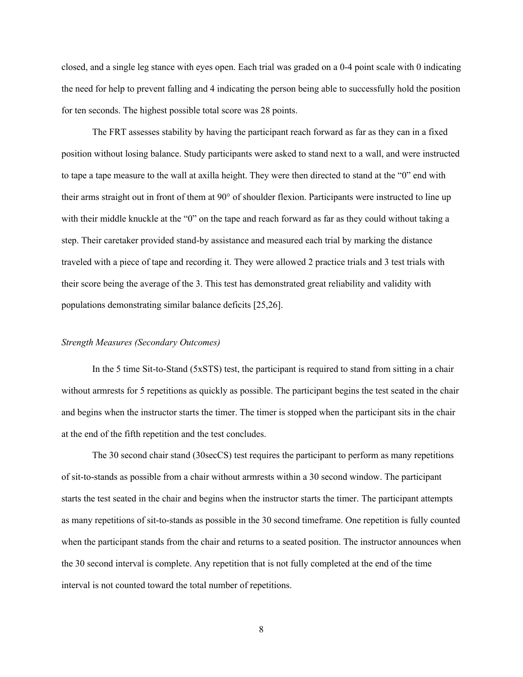closed, and a single leg stance with eyes open. Each trial was graded on a 0-4 point scale with 0 indicating the need for help to prevent falling and 4 indicating the person being able to successfully hold the position for ten seconds. The highest possible total score was 28 points.

The FRT assesses stability by having the participant reach forward as far as they can in a fixed position without losing balance. Study participants were asked to stand next to a wall, and were instructed to tape a tape measure to the wall at axilla height. They were then directed to stand at the "0" end with their arms straight out in front of them at 90° of shoulder flexion. Participants were instructed to line up with their middle knuckle at the "0" on the tape and reach forward as far as they could without taking a step. Their caretaker provided stand-by assistance and measured each trial by marking the distance traveled with a piece of tape and recording it. They were allowed 2 practice trials and 3 test trials with their score being the average of the 3. This test has demonstrated great reliability and validity with populations demonstrating similar balance deficits [25,26].

#### *Strength Measures (Secondary Outcomes)*

In the 5 time Sit-to-Stand (5xSTS) test, the participant is required to stand from sitting in a chair without armrests for 5 repetitions as quickly as possible. The participant begins the test seated in the chair and begins when the instructor starts the timer. The timer is stopped when the participant sits in the chair at the end of the fifth repetition and the test concludes.

The 30 second chair stand (30secCS) test requires the participant to perform as many repetitions of sit-to-stands as possible from a chair without armrests within a 30 second window. The participant starts the test seated in the chair and begins when the instructor starts the timer. The participant attempts as many repetitions of sit-to-stands as possible in the 30 second timeframe. One repetition is fully counted when the participant stands from the chair and returns to a seated position. The instructor announces when the 30 second interval is complete. Any repetition that is not fully completed at the end of the time interval is not counted toward the total number of repetitions.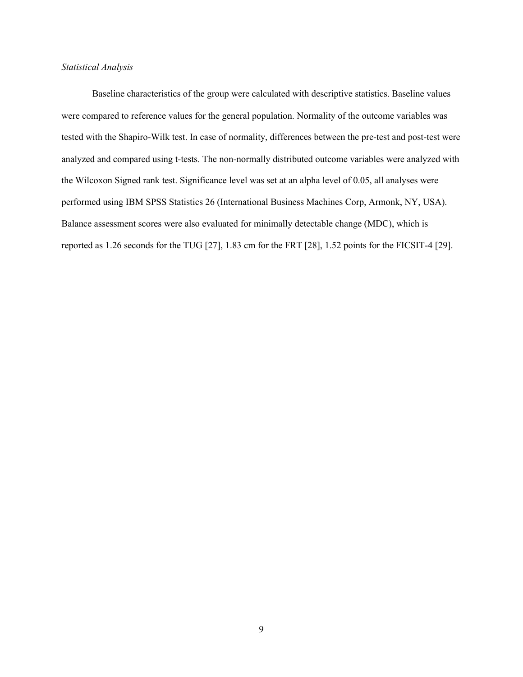#### *Statistical Analysis*

Baseline characteristics of the group were calculated with descriptive statistics. Baseline values were compared to reference values for the general population. Normality of the outcome variables was tested with the Shapiro-Wilk test. In case of normality, differences between the pre-test and post-test were analyzed and compared using t-tests. The non-normally distributed outcome variables were analyzed with the Wilcoxon Signed rank test. Significance level was set at an alpha level of 0.05, all analyses were performed using IBM SPSS Statistics 26 (International Business Machines Corp, Armonk, NY, USA). Balance assessment scores were also evaluated for minimally detectable change (MDC), which is reported as 1.26 seconds for the TUG [27], 1.83 cm for the FRT [28], 1.52 points for the FICSIT-4 [29].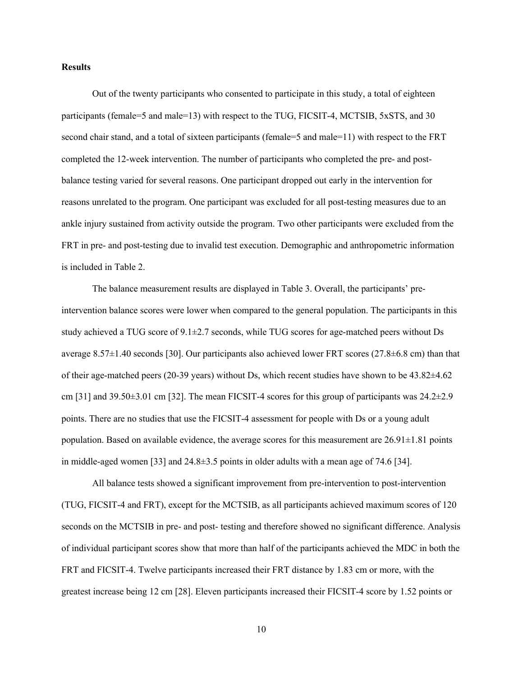#### **Results**

Out of the twenty participants who consented to participate in this study, a total of eighteen participants (female=5 and male=13) with respect to the TUG, FICSIT-4, MCTSIB, 5xSTS, and 30 second chair stand, and a total of sixteen participants (female=5 and male=11) with respect to the FRT completed the 12-week intervention. The number of participants who completed the pre- and postbalance testing varied for several reasons. One participant dropped out early in the intervention for reasons unrelated to the program. One participant was excluded for all post-testing measures due to an ankle injury sustained from activity outside the program. Two other participants were excluded from the FRT in pre- and post-testing due to invalid test execution. Demographic and anthropometric information is included in Table 2.

The balance measurement results are displayed in Table 3. Overall, the participants' preintervention balance scores were lower when compared to the general population. The participants in this study achieved a TUG score of 9.1±2.7 seconds, while TUG scores for age-matched peers without Ds average 8.57±1.40 seconds [30]. Our participants also achieved lower FRT scores (27.8±6.8 cm) than that of their age-matched peers (20-39 years) without Ds, which recent studies have shown to be 43.82±4.62 cm [31] and  $39.50\pm3.01$  cm [32]. The mean FICSIT-4 scores for this group of participants was  $24.2\pm2.9$ points. There are no studies that use the FICSIT-4 assessment for people with Ds or a young adult population. Based on available evidence, the average scores for this measurement are  $26.91\pm1.81$  points in middle-aged women [33] and 24.8±3.5 points in older adults with a mean age of 74.6 [34].

All balance tests showed a significant improvement from pre-intervention to post-intervention (TUG, FICSIT-4 and FRT), except for the MCTSIB, as all participants achieved maximum scores of 120 seconds on the MCTSIB in pre- and post- testing and therefore showed no significant difference. Analysis of individual participant scores show that more than half of the participants achieved the MDC in both the FRT and FICSIT-4. Twelve participants increased their FRT distance by 1.83 cm or more, with the greatest increase being 12 cm [28]. Eleven participants increased their FICSIT-4 score by 1.52 points or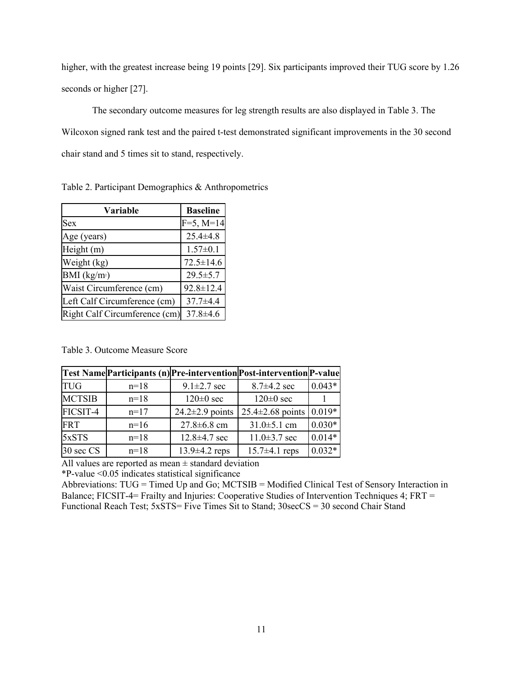higher, with the greatest increase being 19 points [29]. Six participants improved their TUG score by 1.26 seconds or higher [27].

The secondary outcome measures for leg strength results are also displayed in Table 3. The Wilcoxon signed rank test and the paired t-test demonstrated significant improvements in the 30 second chair stand and 5 times sit to stand, respectively.

| Variable                      | <b>Baseline</b> |
|-------------------------------|-----------------|
| Sex                           | $F=5, M=14$     |
| Age (years)                   | $25.4 \pm 4.8$  |
| Height (m)                    | $1.57 \pm 0.1$  |
| Weight (kg)                   | $72.5 \pm 14.6$ |
| BMI (kg/m <sub>2</sub> )      | $29.5 \pm 5.7$  |
| Waist Circumference (cm)      | 92.8±12.4       |
| Left Calf Circumference (cm)  | $37.7 + 4.4$    |
| Right Calf Circumference (cm) | $37.8 \pm 4.6$  |

Table 2. Participant Demographics & Anthropometrics

#### Table 3. Outcome Measure Score

|               |        |                       | Test Name Participants (n) Pre-intervention Post-intervention P-value |          |
|---------------|--------|-----------------------|-----------------------------------------------------------------------|----------|
| <b>TUG</b>    | $n=18$ | $9.1 \pm 2.7$ sec     | $8.7 \pm 4.2$ sec                                                     | $0.043*$ |
| <b>MCTSIB</b> | $n=18$ | $120 \pm 0$ sec       | $120 \pm 0$ sec                                                       |          |
| FICSIT-4      | $n=17$ | $24.2 \pm 2.9$ points | $25.4 \pm 2.68$ points                                                | $0.019*$ |
| <b>FRT</b>    | $n=16$ | $27.8 \pm 6.8$ cm     | $31.0 \pm 5.1$ cm                                                     | $0.030*$ |
| 5xSTS         | $n=18$ | $12.8 \pm 4.7$ sec    | $11.0 \pm 3.7$ sec                                                    | $0.014*$ |
| 30 sec CS     | $n=18$ | $13.9 \pm 4.2$ reps   | $15.7 \pm 4.1$ reps                                                   | $0.032*$ |

All values are reported as mean  $\pm$  standard deviation

\*P-value <0.05 indicates statistical significance

Abbreviations: TUG = Timed Up and Go; MCTSIB = Modified Clinical Test of Sensory Interaction in Balance; FICSIT-4= Frailty and Injuries: Cooperative Studies of Intervention Techniques 4; FRT = Functional Reach Test; 5xSTS= Five Times Sit to Stand; 30secCS = 30 second Chair Stand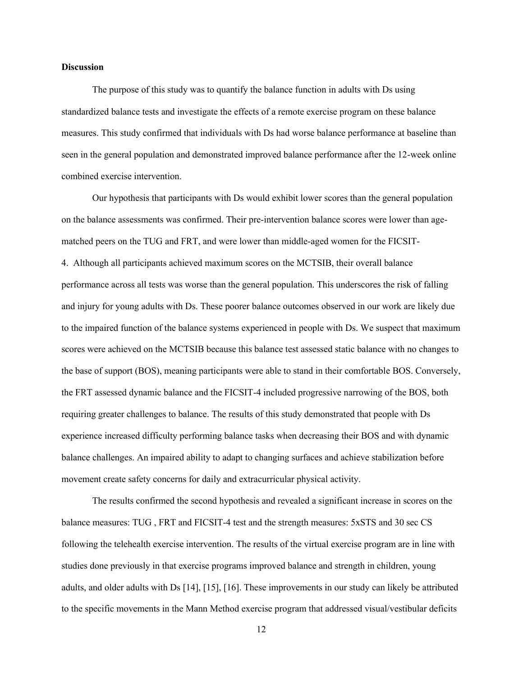#### **Discussion**

The purpose of this study was to quantify the balance function in adults with Ds using standardized balance tests and investigate the effects of a remote exercise program on these balance measures. This study confirmed that individuals with Ds had worse balance performance at baseline than seen in the general population and demonstrated improved balance performance after the 12-week online combined exercise intervention.

Our hypothesis that participants with Ds would exhibit lower scores than the general population on the balance assessments was confirmed. Their pre-intervention balance scores were lower than agematched peers on the TUG and FRT, and were lower than middle-aged women for the FICSIT-4. Although all participants achieved maximum scores on the MCTSIB, their overall balance performance across all tests was worse than the general population. This underscores the risk of falling and injury for young adults with Ds. These poorer balance outcomes observed in our work are likely due to the impaired function of the balance systems experienced in people with Ds. We suspect that maximum scores were achieved on the MCTSIB because this balance test assessed static balance with no changes to the base of support (BOS), meaning participants were able to stand in their comfortable BOS. Conversely, the FRT assessed dynamic balance and the FICSIT-4 included progressive narrowing of the BOS, both requiring greater challenges to balance. The results of this study demonstrated that people with Ds experience increased difficulty performing balance tasks when decreasing their BOS and with dynamic balance challenges. An impaired ability to adapt to changing surfaces and achieve stabilization before movement create safety concerns for daily and extracurricular physical activity.

The results confirmed the second hypothesis and revealed a significant increase in scores on the balance measures: TUG , FRT and FICSIT-4 test and the strength measures: 5xSTS and 30 sec CS following the telehealth exercise intervention. The results of the virtual exercise program are in line with studies done previously in that exercise programs improved balance and strength in children, young adults, and older adults with Ds [14], [15], [16]. These improvements in our study can likely be attributed to the specific movements in the Mann Method exercise program that addressed visual/vestibular deficits

12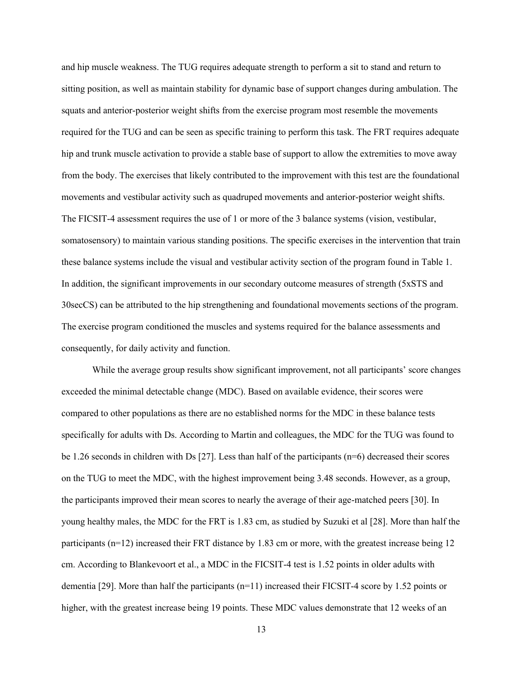and hip muscle weakness. The TUG requires adequate strength to perform a sit to stand and return to sitting position, as well as maintain stability for dynamic base of support changes during ambulation. The squats and anterior-posterior weight shifts from the exercise program most resemble the movements required for the TUG and can be seen as specific training to perform this task. The FRT requires adequate hip and trunk muscle activation to provide a stable base of support to allow the extremities to move away from the body. The exercises that likely contributed to the improvement with this test are the foundational movements and vestibular activity such as quadruped movements and anterior-posterior weight shifts. The FICSIT-4 assessment requires the use of 1 or more of the 3 balance systems (vision, vestibular, somatosensory) to maintain various standing positions. The specific exercises in the intervention that train these balance systems include the visual and vestibular activity section of the program found in Table 1. In addition, the significant improvements in our secondary outcome measures of strength (5xSTS and 30secCS) can be attributed to the hip strengthening and foundational movements sections of the program. The exercise program conditioned the muscles and systems required for the balance assessments and consequently, for daily activity and function.

While the average group results show significant improvement, not all participants' score changes exceeded the minimal detectable change (MDC). Based on available evidence, their scores were compared to other populations as there are no established norms for the MDC in these balance tests specifically for adults with Ds. According to Martin and colleagues, the MDC for the TUG was found to be 1.26 seconds in children with Ds [27]. Less than half of the participants  $(n=6)$  decreased their scores on the TUG to meet the MDC, with the highest improvement being 3.48 seconds. However, as a group, the participants improved their mean scores to nearly the average of their age-matched peers [30]. In young healthy males, the MDC for the FRT is 1.83 cm, as studied by Suzuki et al [28]. More than half the participants (n=12) increased their FRT distance by 1.83 cm or more, with the greatest increase being 12 cm. According to Blankevoort et al., a MDC in the FICSIT-4 test is 1.52 points in older adults with dementia [29]. More than half the participants (n=11) increased their FICSIT-4 score by 1.52 points or higher, with the greatest increase being 19 points. These MDC values demonstrate that 12 weeks of an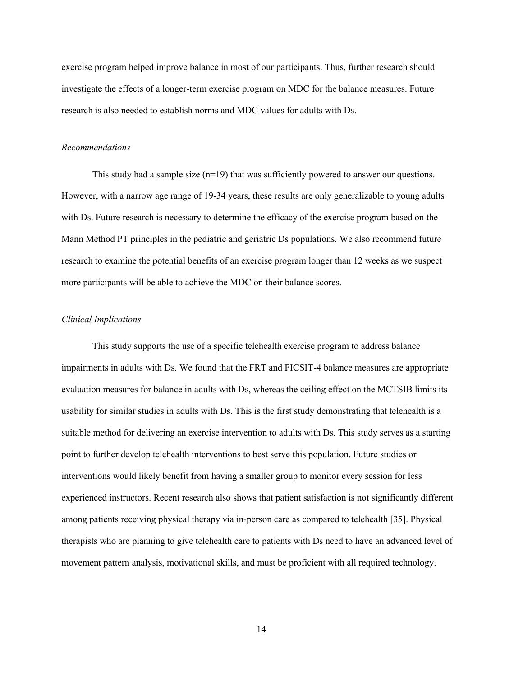exercise program helped improve balance in most of our participants. Thus, further research should investigate the effects of a longer-term exercise program on MDC for the balance measures. Future research is also needed to establish norms and MDC values for adults with Ds.

#### *Recommendations*

This study had a sample size  $(n=19)$  that was sufficiently powered to answer our questions. However, with a narrow age range of 19-34 years, these results are only generalizable to young adults with Ds. Future research is necessary to determine the efficacy of the exercise program based on the Mann Method PT principles in the pediatric and geriatric Ds populations. We also recommend future research to examine the potential benefits of an exercise program longer than 12 weeks as we suspect more participants will be able to achieve the MDC on their balance scores.

#### *Clinical Implications*

This study supports the use of a specific telehealth exercise program to address balance impairments in adults with Ds. We found that the FRT and FICSIT-4 balance measures are appropriate evaluation measures for balance in adults with Ds, whereas the ceiling effect on the MCTSIB limits its usability for similar studies in adults with Ds. This is the first study demonstrating that telehealth is a suitable method for delivering an exercise intervention to adults with Ds. This study serves as a starting point to further develop telehealth interventions to best serve this population. Future studies or interventions would likely benefit from having a smaller group to monitor every session for less experienced instructors. Recent research also shows that patient satisfaction is not significantly different among patients receiving physical therapy via in-person care as compared to telehealth [35]. Physical therapists who are planning to give telehealth care to patients with Ds need to have an advanced level of movement pattern analysis, motivational skills, and must be proficient with all required technology.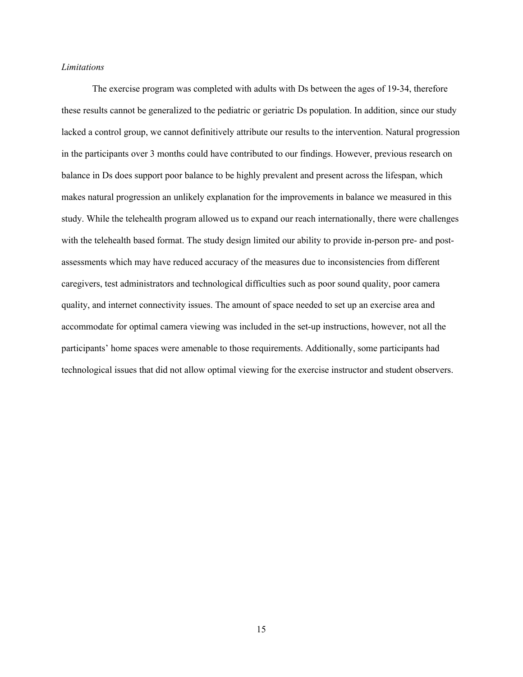#### *Limitations*

The exercise program was completed with adults with Ds between the ages of 19-34, therefore these results cannot be generalized to the pediatric or geriatric Ds population. In addition, since our study lacked a control group, we cannot definitively attribute our results to the intervention. Natural progression in the participants over 3 months could have contributed to our findings. However, previous research on balance in Ds does support poor balance to be highly prevalent and present across the lifespan, which makes natural progression an unlikely explanation for the improvements in balance we measured in this study. While the telehealth program allowed us to expand our reach internationally, there were challenges with the telehealth based format. The study design limited our ability to provide in-person pre- and postassessments which may have reduced accuracy of the measures due to inconsistencies from different caregivers, test administrators and technological difficulties such as poor sound quality, poor camera quality, and internet connectivity issues. The amount of space needed to set up an exercise area and accommodate for optimal camera viewing was included in the set-up instructions, however, not all the participants' home spaces were amenable to those requirements. Additionally, some participants had technological issues that did not allow optimal viewing for the exercise instructor and student observers.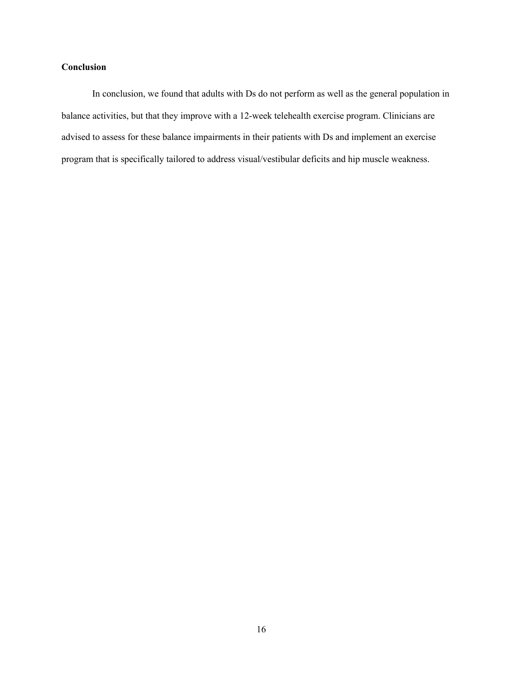#### **Conclusion**

In conclusion, we found that adults with Ds do not perform as well as the general population in balance activities, but that they improve with a 12-week telehealth exercise program. Clinicians are advised to assess for these balance impairments in their patients with Ds and implement an exercise program that is specifically tailored to address visual/vestibular deficits and hip muscle weakness.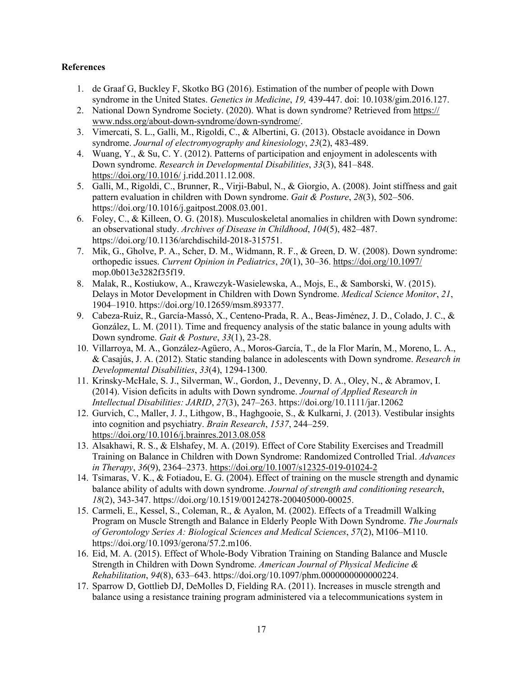#### **References**

- 1. de Graaf G, Buckley F, Skotko BG (2016). Estimation of the number of people with Down syndrome in the United States. *Genetics in Medicine*, *19,* 439-447. doi: 10.1038/gim.2016.127.
- 2. National Down Syndrome Society. (2020). What is down syndrome? Retrieved from https:// www.ndss.org/about-down-syndrome/down-syndrome/.
- 3. Vimercati, S. L., Galli, M., Rigoldi, C., & Albertini, G. (2013). Obstacle avoidance in Down syndrome. *Journal of electromyography and kinesiology*, *23*(2), 483-489.
- 4. Wuang, Y., & Su, C. Y. (2012). Patterns of participation and enjoyment in adolescents with Down syndrome. *Research in Developmental Disabilities*, *33*(3), 841–848. https://doi.org/10.1016/ j.ridd.2011.12.008.
- 5. Galli, M., Rigoldi, C., Brunner, R., Virji-Babul, N., & Giorgio, A. (2008). Joint stiffness and gait pattern evaluation in children with Down syndrome. *Gait & Posture*, *28*(3), 502–506. https://doi.org/10.1016/j.gaitpost.2008.03.001.
- 6. Foley, C., & Killeen, O. G. (2018). Musculoskeletal anomalies in children with Down syndrome: an observational study. *Archives of Disease in Childhood*, *104*(5), 482–487. https://doi.org/10.1136/archdischild-2018-315751.
- 7. Mik, G., Gholve, P. A., Scher, D. M., Widmann, R. F., & Green, D. W. (2008). Down syndrome: orthopedic issues. *Current Opinion in Pediatrics*, *20*(1), 30–36. https://doi.org/10.1097/ mop.0b013e3282f35f19.
- 8. Malak, R., Kostiukow, A., Krawczyk-Wasielewska, A., Mojs, E., & Samborski, W. (2015). Delays in Motor Development in Children with Down Syndrome. *Medical Science Monitor*, *21*, 1904–1910. https://doi.org/10.12659/msm.893377.
- 9. Cabeza-Ruiz, R., García-Massó, X., Centeno-Prada, R. A., Beas-Jiménez, J. D., Colado, J. C., & González, L. M. (2011). Time and frequency analysis of the static balance in young adults with Down syndrome. *Gait & Posture*, *33*(1), 23-28.
- 10. Villarroya, M. A., González-Agüero, A., Moros-García, T., de la Flor Marín, M., Moreno, L. A., & Casajús, J. A. (2012). Static standing balance in adolescents with Down syndrome. *Research in Developmental Disabilities*, *33*(4), 1294-1300.
- 11. Krinsky-McHale, S. J., Silverman, W., Gordon, J., Devenny, D. A., Oley, N., & Abramov, I. (2014). Vision deficits in adults with Down syndrome. *Journal of Applied Research in Intellectual Disabilities: JARID*, *27*(3), 247–263. https://doi.org/10.1111/jar.12062
- 12. Gurvich, C., Maller, J. J., Lithgow, B., Haghgooie, S., & Kulkarni, J. (2013). Vestibular insights into cognition and psychiatry. *Brain Research*, *1537*, 244–259. https://doi.org/10.1016/j.brainres.2013.08.058
- 13. Alsakhawi, R. S., & Elshafey, M. A. (2019). Effect of Core Stability Exercises and Treadmill Training on Balance in Children with Down Syndrome: Randomized Controlled Trial. *Advances in Therapy*, *36*(9), 2364–2373. https://doi.org/10.1007/s12325-019-01024-2
- 14. Tsimaras, V. K., & Fotiadou, E. G. (2004). Effect of training on the muscle strength and dynamic balance ability of adults with down syndrome. *Journal of strength and conditioning research*, *18*(2), 343-347. https://doi.org/10.1519/00124278-200405000-00025.
- 15. Carmeli, E., Kessel, S., Coleman, R., & Ayalon, M. (2002). Effects of a Treadmill Walking Program on Muscle Strength and Balance in Elderly People With Down Syndrome. *The Journals of Gerontology Series A: Biological Sciences and Medical Sciences*, *57*(2), M106–M110. https://doi.org/10.1093/gerona/57.2.m106.
- 16. Eid, M. A. (2015). Effect of Whole-Body Vibration Training on Standing Balance and Muscle Strength in Children with Down Syndrome. *American Journal of Physical Medicine & Rehabilitation*, *94*(8), 633–643. https://doi.org/10.1097/phm.0000000000000224.
- 17. Sparrow D, Gottlieb DJ, DeMolles D, Fielding RA. (2011). Increases in muscle strength and balance using a resistance training program administered via a telecommunications system in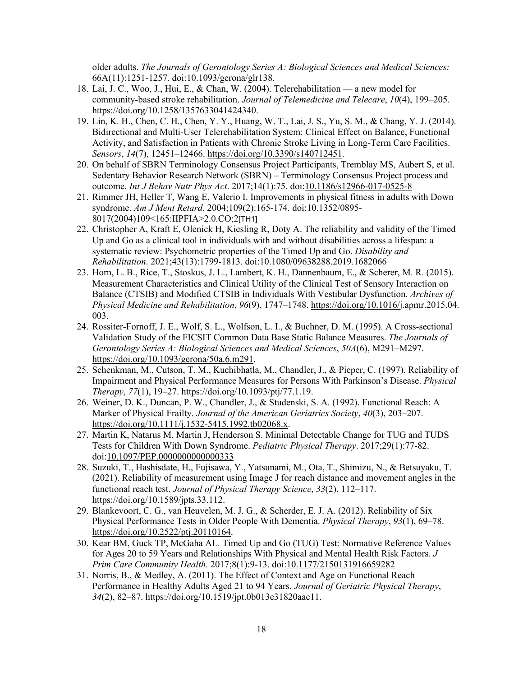older adults. *The Journals of Gerontology Series A: Biological Sciences and Medical Sciences:*  66A(11):1251-1257. doi:10.1093/gerona/glr138.

- 18. Lai, J. C., Woo, J., Hui, E., & Chan, W. (2004). Telerehabilitation a new model for community-based stroke rehabilitation. *Journal of Telemedicine and Telecare*, *10*(4), 199–205. https://doi.org/10.1258/1357633041424340.
- 19. Lin, K. H., Chen, C. H., Chen, Y. Y., Huang, W. T., Lai, J. S., Yu, S. M., & Chang, Y. J. (2014). Bidirectional and Multi-User Telerehabilitation System: Clinical Effect on Balance, Functional Activity, and Satisfaction in Patients with Chronic Stroke Living in Long-Term Care Facilities. *Sensors*, *14*(7), 12451–12466. https://doi.org/10.3390/s140712451.
- 20. On behalf of SBRN Terminology Consensus Project Participants, Tremblay MS, Aubert S, et al. Sedentary Behavior Research Network (SBRN) – Terminology Consensus Project process and outcome. *Int J Behav Nutr Phys Act*. 2017;14(1):75. doi:10.1186/s12966-017-0525-8
- 21. Rimmer JH, Heller T, Wang E, Valerio I. Improvements in physical fitness in adults with Down syndrome. *Am J Ment Retard*. 2004;109(2):165-174. doi:10.1352/0895- 8017(2004)109<165:IIPFIA>2.0.CO;2[TH1]
- 22. Christopher A, Kraft E, Olenick H, Kiesling R, Doty A. The reliability and validity of the Timed Up and Go as a clinical tool in individuals with and without disabilities across a lifespan: a systematic review: Psychometric properties of the Timed Up and Go. *Disability and Rehabilitation*. 2021;43(13):1799-1813. doi:10.1080/09638288.2019.1682066
- 23. Horn, L. B., Rice, T., Stoskus, J. L., Lambert, K. H., Dannenbaum, E., & Scherer, M. R. (2015). Measurement Characteristics and Clinical Utility of the Clinical Test of Sensory Interaction on Balance (CTSIB) and Modified CTSIB in Individuals With Vestibular Dysfunction. *Archives of Physical Medicine and Rehabilitation*, *96*(9), 1747–1748. https://doi.org/10.1016/j.apmr.2015.04. 003.
- 24. Rossiter-Fornoff, J. E., Wolf, S. L., Wolfson, L. I., & Buchner, D. M. (1995). A Cross-sectional Validation Study of the FICSIT Common Data Base Static Balance Measures. *The Journals of Gerontology Series A: Biological Sciences and Medical Sciences*, *50A*(6), M291–M297. https://doi.org/10.1093/gerona/50a.6.m291.
- 25. Schenkman, M., Cutson, T. M., Kuchibhatla, M., Chandler, J., & Pieper, C. (1997). Reliability of Impairment and Physical Performance Measures for Persons With Parkinson's Disease. *Physical Therapy*, *77*(1), 19–27. https://doi.org/10.1093/ptj/77.1.19.
- 26. Weiner, D. K., Duncan, P. W., Chandler, J., & Studenski, S. A. (1992). Functional Reach: A Marker of Physical Frailty. *Journal of the American Geriatrics Society*, *40*(3), 203–207. https://doi.org/10.1111/j.1532-5415.1992.tb02068.x.
- 27. Martin K, Natarus M, Martin J, Henderson S. Minimal Detectable Change for TUG and TUDS Tests for Children With Down Syndrome. *Pediatric Physical Therapy*. 2017;29(1):77-82. doi:10.1097/PEP.0000000000000333
- 28. Suzuki, T., Hashisdate, H., Fujisawa, Y., Yatsunami, M., Ota, T., Shimizu, N., & Betsuyaku, T. (2021). Reliability of measurement using Image J for reach distance and movement angles in the functional reach test. *Journal of Physical Therapy Science*, *33*(2), 112–117. https://doi.org/10.1589/jpts.33.112.
- 29. Blankevoort, C. G., van Heuvelen, M. J. G., & Scherder, E. J. A. (2012). Reliability of Six Physical Performance Tests in Older People With Dementia. *Physical Therapy*, *93*(1), 69–78. https://doi.org/10.2522/ptj.20110164.
- 30. Kear BM, Guck TP, McGaha AL. Timed Up and Go (TUG) Test: Normative Reference Values for Ages 20 to 59 Years and Relationships With Physical and Mental Health Risk Factors. *J Prim Care Community Health*. 2017;8(1):9-13. doi:10.1177/2150131916659282
- 31. Norris, B., & Medley, A. (2011). The Effect of Context and Age on Functional Reach Performance in Healthy Adults Aged 21 to 94 Years. *Journal of Geriatric Physical Therapy*, *34*(2), 82–87. https://doi.org/10.1519/jpt.0b013e31820aac11.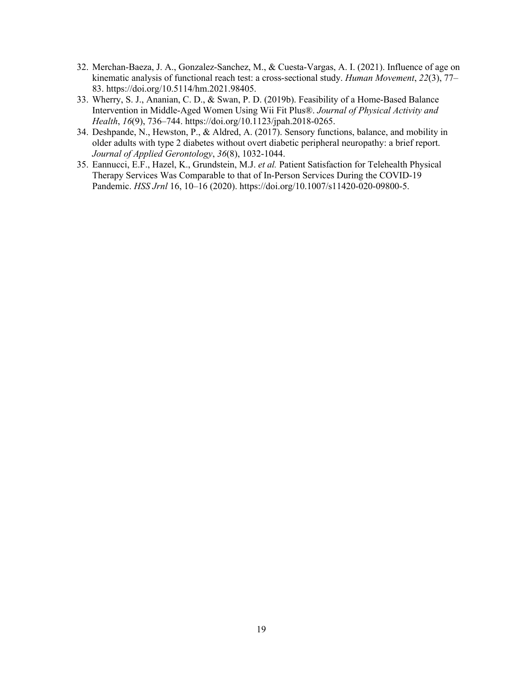- 32. Merchan-Baeza, J. A., Gonzalez-Sanchez, M., & Cuesta-Vargas, A. I. (2021). Influence of age on kinematic analysis of functional reach test: a cross-sectional study. *Human Movement*, *22*(3), 77– 83. https://doi.org/10.5114/hm.2021.98405.
- 33. Wherry, S. J., Ananian, C. D., & Swan, P. D. (2019b). Feasibility of a Home-Based Balance Intervention in Middle-Aged Women Using Wii Fit Plus®. *Journal of Physical Activity and Health*, *16*(9), 736–744. https://doi.org/10.1123/jpah.2018-0265.
- 34. Deshpande, N., Hewston, P., & Aldred, A. (2017). Sensory functions, balance, and mobility in older adults with type 2 diabetes without overt diabetic peripheral neuropathy: a brief report. *Journal of Applied Gerontology*, *36*(8), 1032-1044.
- 35. Eannucci, E.F., Hazel, K., Grundstein, M.J. *et al.* Patient Satisfaction for Telehealth Physical Therapy Services Was Comparable to that of In-Person Services During the COVID-19 Pandemic. *HSS Jrnl* 16, 10–16 (2020). https://doi.org/10.1007/s11420-020-09800-5.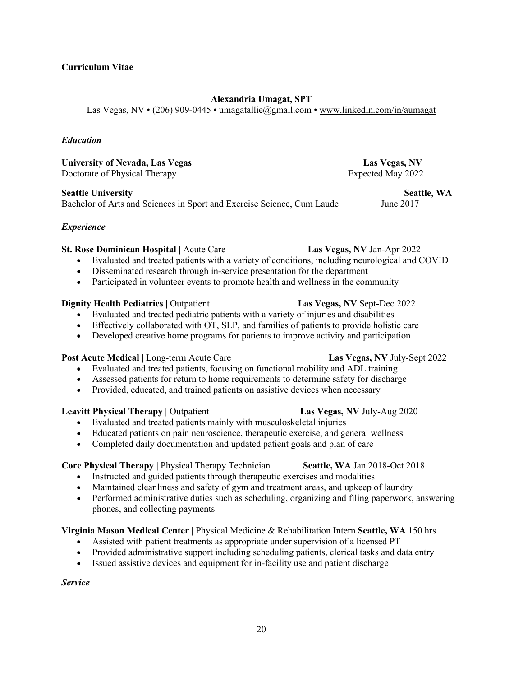#### **Curriculum Vitae**

### **Alexandria Umagat, SPT**

Las Vegas, NV • (206) 909-0445 • umagatallie@gmail.com • www.linkedin.com/in/aumagat

#### *Education*

**University of Nevada, Las Vegas Las Vegas, NV**  Doctorate of Physical Therapy Expected May 2022

**Seattle University Seattle, WA**  Bachelor of Arts and Sciences in Sport and Exercise Science, Cum Laude June 2017

#### *Experience*

#### **St. Rose Dominican Hospital |** Acute Care **Las Vegas, NV** Jan-Apr 2022

- Evaluated and treated patients with a variety of conditions, including neurological and COVID
- Disseminated research through in-service presentation for the department
- Participated in volunteer events to promote health and wellness in the community

#### **Dignity Health Pediatrics | Outpatient <b>Las Vegas, NV** Sept-Dec 2022

- Evaluated and treated pediatric patients with a variety of injuries and disabilities
- Effectively collaborated with OT, SLP, and families of patients to provide holistic care
- Developed creative home programs for patients to improve activity and participation

#### **Post Acute Medical | Long-term Acute Care <b>Las Vegas, NV July-Sept 2022**

- Evaluated and treated patients, focusing on functional mobility and ADL training
- Assessed patients for return to home requirements to determine safety for discharge
- Provided, educated, and trained patients on assistive devices when necessary

#### **Leavitt Physical Therapy | Outpatient <b>Las Vegas, NV** July-Aug 2020

- Evaluated and treated patients mainly with musculoskeletal injuries
- Educated patients on pain neuroscience, therapeutic exercise, and general wellness
- Completed daily documentation and updated patient goals and plan of care

#### **Core Physical Therapy | Physical Therapy Technician <b>Seattle, WA** Jan 2018-Oct 2018

- Instructed and guided patients through therapeutic exercises and modalities
- Maintained cleanliness and safety of gym and treatment areas, and upkeep of laundry
- Performed administrative duties such as scheduling, organizing and filing paperwork, answering phones, and collecting payments

### **Virginia Mason Medical Center |** Physical Medicine & Rehabilitation Intern **Seattle, WA** 150 hrs

- Assisted with patient treatments as appropriate under supervision of a licensed PT
- Provided administrative support including scheduling patients, clerical tasks and data entry
- Issued assistive devices and equipment for in-facility use and patient discharge

*Service*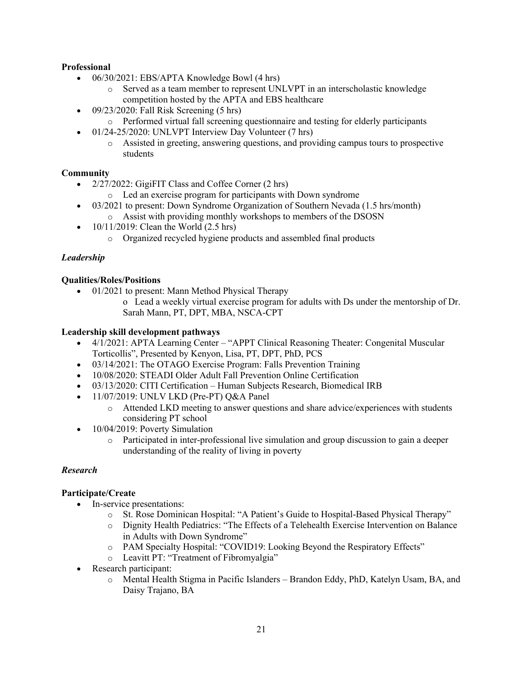### **Professional**

- $\bullet$  06/30/2021: EBS/APTA Knowledge Bowl (4 hrs)
	- o Served as a team member to represent UNLVPT in an interscholastic knowledge competition hosted by the APTA and EBS healthcare
- $\bullet$  09/23/2020: Fall Risk Screening (5 hrs)
	- o Performed virtual fall screening questionnaire and testing for elderly participants
- 01/24-25/2020: UNLVPT Interview Day Volunteer (7 hrs)
	- o Assisted in greeting, answering questions, and providing campus tours to prospective students

#### **Community**

- 2/27/2022: GigiFIT Class and Coffee Corner (2 hrs)
	- o Led an exercise program for participants with Down syndrome
- 03/2021 to present: Down Syndrome Organization of Southern Nevada (1.5 hrs/month) o Assist with providing monthly workshops to members of the DSOSN
- 10/11/2019: Clean the World (2.5 hrs)
	- o Organized recycled hygiene products and assembled final products

#### *Leadership*

#### **Qualities/Roles/Positions**

- 01/2021 to present: Mann Method Physical Therapy
	- o Lead a weekly virtual exercise program for adults with Ds under the mentorship of Dr. Sarah Mann, PT, DPT, MBA, NSCA-CPT

#### **Leadership skill development pathways**

- 4/1/2021: APTA Learning Center "APPT Clinical Reasoning Theater: Congenital Muscular Torticollis", Presented by Kenyon, Lisa, PT, DPT, PhD, PCS
- 03/14/2021: The OTAGO Exercise Program: Falls Prevention Training
- 10/08/2020: STEADI Older Adult Fall Prevention Online Certification
- 03/13/2020: CITI Certification Human Subjects Research, Biomedical IRB
- $\bullet$  11/07/2019: UNLV LKD (Pre-PT) O&A Panel
	- o Attended LKD meeting to answer questions and share advice/experiences with students considering PT school
- 10/04/2019: Poverty Simulation
	- o Participated in inter-professional live simulation and group discussion to gain a deeper understanding of the reality of living in poverty

#### *Research*

#### **Participate/Create**

- In-service presentations:
	- o St. Rose Dominican Hospital: "A Patient's Guide to Hospital-Based Physical Therapy"
	- o Dignity Health Pediatrics: "The Effects of a Telehealth Exercise Intervention on Balance in Adults with Down Syndrome"
	- o PAM Specialty Hospital: "COVID19: Looking Beyond the Respiratory Effects"
	- o Leavitt PT: "Treatment of Fibromyalgia"
- Research participant:
	- o Mental Health Stigma in Pacific Islanders Brandon Eddy, PhD, Katelyn Usam, BA, and Daisy Trajano, BA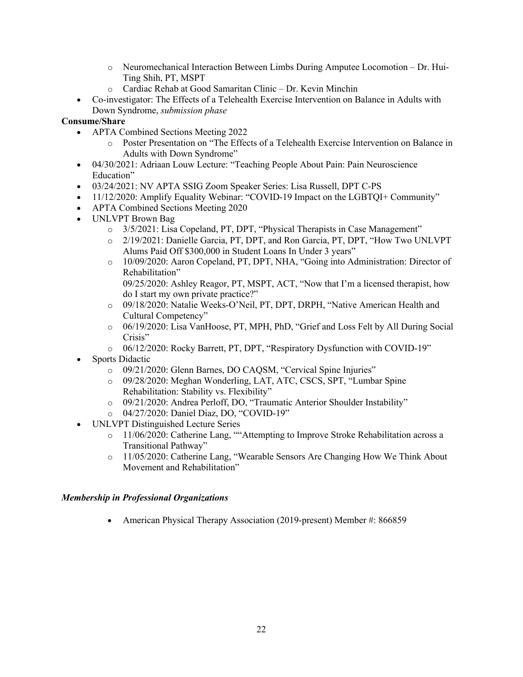- o Neuromechanical Interaction Between Limbs During Amputee Locomotion Dr. Hui-Ting Shih, PT, MSPT
- o Cardiac Rehab at Good Samaritan Clinic Dr. Kevin Minchin
- Co-investigator: The Effects of a Telehealth Exercise Intervention on Balance in Adults with Down Syndrome, *submission phase*

### **Consume/Share**

- APTA Combined Sections Meeting 2022
	- o Poster Presentation on "The Effects of a Telehealth Exercise Intervention on Balance in Adults with Down Syndrome"
- 04/30/2021: Adriaan Louw Lecture: "Teaching People About Pain: Pain Neuroscience Education"
- 03/24/2021: NV APTA SSIG Zoom Speaker Series: Lisa Russell, DPT C-PS
- 11/12/2020: Amplify Equality Webinar: "COVID-19 Impact on the LGBTQI+ Community"
- APTA Combined Sections Meeting 2020
- UNLVPT Brown Bag
	- o 3/5/2021: Lisa Copeland, PT, DPT, "Physical Therapists in Case Management"
	- o 2/19/2021: Danielle Garcia, PT, DPT, and Ron Garcia, PT, DPT, "How Two UNLVPT Alums Paid Off \$300,000 in Student Loans In Under 3 years"
	- o 10/09/2020: Aaron Copeland, PT, DPT, NHA, "Going into Administration: Director of Rehabilitation"

09/25/2020: Ashley Reagor, PT, MSPT, ACT, "Now that I'm a licensed therapist, how do I start my own private practice?"

- o 09/18/2020: Natalie Weeks-O'Neil, PT, DPT, DRPH, "Native American Health and Cultural Competency"
- o 06/19/2020: Lisa VanHoose, PT, MPH, PhD, "Grief and Loss Felt by All During Social Crisis"
- o 06/12/2020: Rocky Barrett, PT, DPT, "Respiratory Dysfunction with COVID-19"
- Sports Didactic
	- o 09/21/2020: Glenn Barnes, DO CAQSM, "Cervical Spine Injuries"
	- o 09/28/2020: Meghan Wonderling, LAT, ATC, CSCS, SPT, "Lumbar Spine Rehabilitation: Stability vs. Flexibility"
	- o 09/21/2020: Andrea Perloff, DO, "Traumatic Anterior Shoulder Instability"
	- o 04/27/2020: Daniel Diaz, DO, "COVID-19"
- UNLVPT Distinguished Lecture Series
	- $\circ$  11/06/2020: Catherine Lang, ""Attempting to Improve Stroke Rehabilitation across a Transitional Pathway"
	- o 11/05/2020: Catherine Lang, "Wearable Sensors Are Changing How We Think About Movement and Rehabilitation"

### *Membership in Professional Organizations*

• American Physical Therapy Association (2019-present) Member #: 866859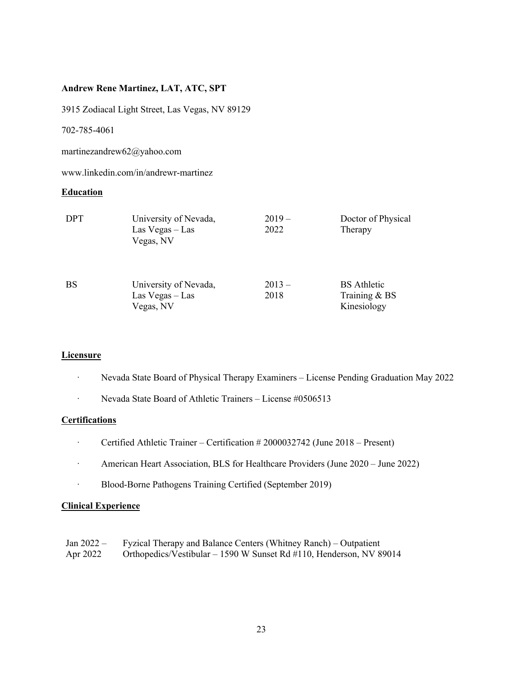#### **Andrew Rene Martinez, LAT, ATC, SPT**

3915 Zodiacal Light Street, Las Vegas, NV 89129

702-785-4061

martinezandrew62@yahoo.com

www.linkedin.com/in/andrewr-martinez

#### **Education**

| <b>DPT</b> | University of Nevada,<br>$Las Vegas - Las$<br>Vegas, NV | $2019-$<br>2022 | Doctor of Physical<br>Therapy                      |
|------------|---------------------------------------------------------|-----------------|----------------------------------------------------|
| <b>BS</b>  | University of Nevada,<br>Las $Vegas - Las$<br>Vegas, NV | $2013-$<br>2018 | <b>BS</b> Athletic<br>Training & BS<br>Kinesiology |

#### **Licensure**

- · Nevada State Board of Physical Therapy Examiners License Pending Graduation May 2022
- · Nevada State Board of Athletic Trainers License #0506513

#### **Certifications**

- · Certified Athletic Trainer Certification # 2000032742 (June 2018 Present)
- · American Heart Association, BLS for Healthcare Providers (June 2020 June 2022)
- · Blood-Borne Pathogens Training Certified (September 2019)

#### **Clinical Experience**

| Jan $2022-$ | Fyzical Therapy and Balance Centers (Whitney Ranch) – Outpatient     |
|-------------|----------------------------------------------------------------------|
| Apr 2022    | Orthopedics/Vestibular $-1590$ W Sunset Rd #110, Henderson, NV 89014 |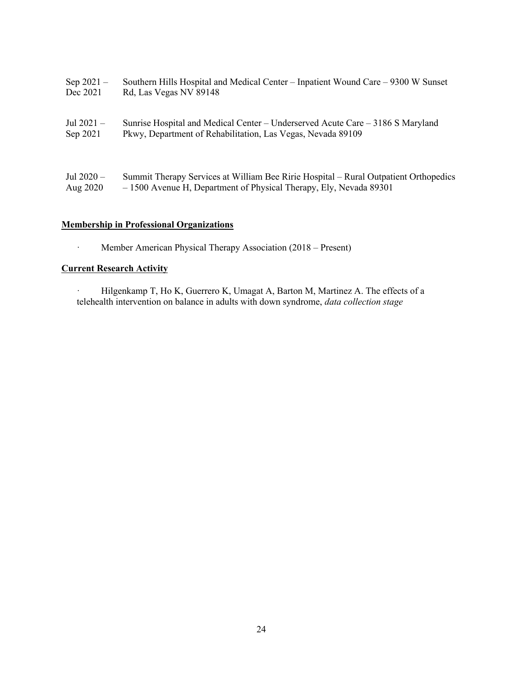| Sep $2021 -$ | Southern Hills Hospital and Medical Center – Inpatient Wound Care – 9300 W Sunset    |
|--------------|--------------------------------------------------------------------------------------|
| Dec 2021     | Rd, Las Vegas NV 89148                                                               |
| Jul 2021 $-$ | Sunrise Hospital and Medical Center – Underserved Acute Care – $3186$ S Maryland     |
| Sep 2021     | Pkwy, Department of Rehabilitation, Las Vegas, Nevada 89109                          |
| Jul $2020 -$ | Summit Therapy Services at William Bee Ririe Hospital – Rural Outpatient Orthopedics |
| Aug 2020     | -1500 Avenue H, Department of Physical Therapy, Ely, Nevada 89301                    |

### **Membership in Professional Organizations**

· Member American Physical Therapy Association (2018 – Present)

### **Current Research Activity**

· Hilgenkamp T, Ho K, Guerrero K, Umagat A, Barton M, Martinez A. The effects of a telehealth intervention on balance in adults with down syndrome, *data collection stage*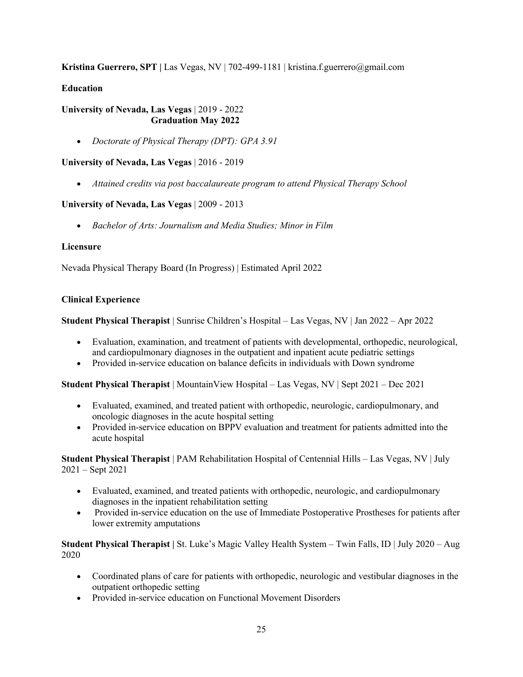**Kristina Guerrero, SPT |** Las Vegas, NV | 702-499-1181 | kristina.f.guerrero@gmail.com

#### **Education**

#### **University of Nevada, Las Vegas** | 2019 - 2022 **Graduation May 2022**

• *Doctorate of Physical Therapy (DPT): GPA 3.91*

#### **University of Nevada, Las Vegas** | 2016 - 2019

• *Attained credits via post baccalaureate program to attend Physical Therapy School*

#### **University of Nevada, Las Vegas** | 2009 - 2013

• *Bachelor of Arts: Journalism and Media Studies; Minor in Film*

#### **Licensure**

Nevada Physical Therapy Board (In Progress) | Estimated April 2022

#### **Clinical Experience**

**Student Physical Therapist** | Sunrise Children's Hospital – Las Vegas, NV | Jan 2022 – Apr 2022

- Evaluation, examination, and treatment of patients with developmental, orthopedic, neurological, and cardiopulmonary diagnoses in the outpatient and inpatient acute pediatric settings
- Provided in-service education on balance deficits in individuals with Down syndrome

**Student Physical Therapist** | MountainView Hospital – Las Vegas, NV | Sept 2021 – Dec 2021

- Evaluated, examined, and treated patient with orthopedic, neurologic, cardiopulmonary, and oncologic diagnoses in the acute hospital setting
- Provided in-service education on BPPV evaluation and treatment for patients admitted into the acute hospital

**Student Physical Therapist** | PAM Rehabilitation Hospital of Centennial Hills – Las Vegas, NV | July 2021 – Sept 2021

- Evaluated, examined, and treated patients with orthopedic, neurologic, and cardiopulmonary diagnoses in the inpatient rehabilitation setting
- Provided in-service education on the use of Immediate Postoperative Prostheses for patients after lower extremity amputations

**Student Physical Therapist |** St. Luke's Magic Valley Health System – Twin Falls, ID | July 2020 – Aug 2020

- Coordinated plans of care for patients with orthopedic, neurologic and vestibular diagnoses in the outpatient orthopedic setting
- Provided in-service education on Functional Movement Disorders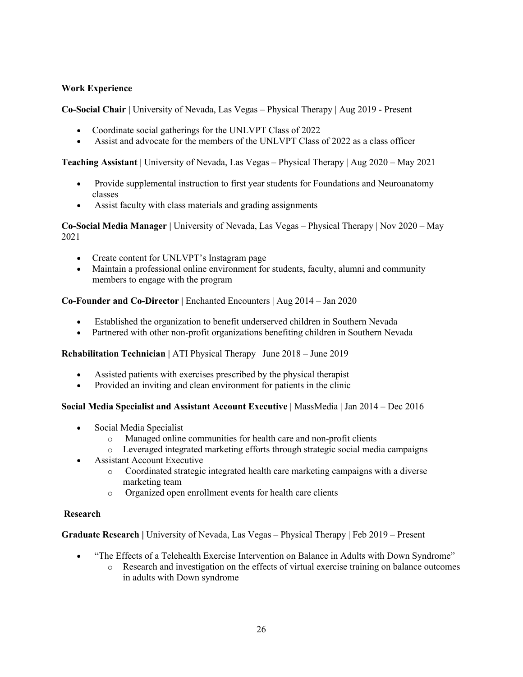#### **Work Experience**

**Co-Social Chair |** University of Nevada, Las Vegas – Physical Therapy | Aug 2019 - Present

- Coordinate social gatherings for the UNLVPT Class of 2022
- Assist and advocate for the members of the UNLVPT Class of 2022 as a class officer

**Teaching Assistant |** University of Nevada, Las Vegas – Physical Therapy | Aug 2020 – May 2021

- Provide supplemental instruction to first year students for Foundations and Neuroanatomy classes
- Assist faculty with class materials and grading assignments

**Co-Social Media Manager |** University of Nevada, Las Vegas – Physical Therapy | Nov 2020 – May 2021

- Create content for UNLVPT's Instagram page
- Maintain a professional online environment for students, faculty, alumni and community members to engage with the program

**Co-Founder and Co-Director |** Enchanted Encounters | Aug 2014 – Jan 2020

- Established the organization to benefit underserved children in Southern Nevada
- Partnered with other non-profit organizations benefiting children in Southern Nevada

**Rehabilitation Technician |** ATI Physical Therapy | June 2018 – June 2019

- Assisted patients with exercises prescribed by the physical therapist
- Provided an inviting and clean environment for patients in the clinic

**Social Media Specialist and Assistant Account Executive |** MassMedia | Jan 2014 – Dec 2016

- Social Media Specialist
	- o Managed online communities for health care and non-profit clients
	- o Leveraged integrated marketing efforts through strategic social media campaigns
- Assistant Account Executive
	- o Coordinated strategic integrated health care marketing campaigns with a diverse marketing team
	- o Organized open enrollment events for health care clients

#### **Research**

**Graduate Research |** University of Nevada, Las Vegas – Physical Therapy | Feb 2019 – Present

- "The Effects of a Telehealth Exercise Intervention on Balance in Adults with Down Syndrome"
	- o Research and investigation on the effects of virtual exercise training on balance outcomes in adults with Down syndrome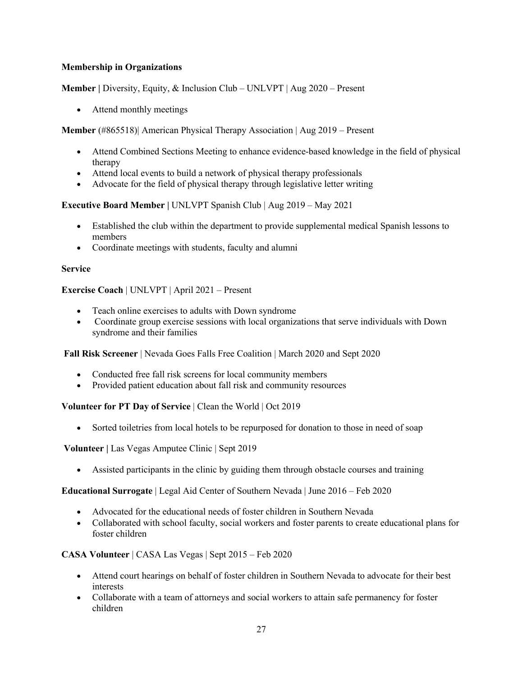#### **Membership in Organizations**

**Member |** Diversity, Equity, & Inclusion Club – UNLVPT | Aug 2020 – Present

• Attend monthly meetings

**Member** (#865518)| American Physical Therapy Association | Aug 2019 – Present

- Attend Combined Sections Meeting to enhance evidence-based knowledge in the field of physical therapy
- Attend local events to build a network of physical therapy professionals
- Advocate for the field of physical therapy through legislative letter writing

**Executive Board Member |** UNLVPT Spanish Club | Aug 2019 – May 2021

- Established the club within the department to provide supplemental medical Spanish lessons to members
- Coordinate meetings with students, faculty and alumni

#### **Service**

**Exercise Coach** | UNLVPT | April 2021 – Present

- Teach online exercises to adults with Down syndrome
- Coordinate group exercise sessions with local organizations that serve individuals with Down syndrome and their families

**Fall Risk Screener** | Nevada Goes Falls Free Coalition | March 2020 and Sept 2020

- Conducted free fall risk screens for local community members
- Provided patient education about fall risk and community resources

**Volunteer for PT Day of Service** | Clean the World | Oct 2019

• Sorted toiletries from local hotels to be repurposed for donation to those in need of soap

**Volunteer |** Las Vegas Amputee Clinic | Sept 2019

• Assisted participants in the clinic by guiding them through obstacle courses and training

**Educational Surrogate** | Legal Aid Center of Southern Nevada | June 2016 – Feb 2020

- Advocated for the educational needs of foster children in Southern Nevada
- Collaborated with school faculty, social workers and foster parents to create educational plans for foster children

**CASA Volunteer** | CASA Las Vegas | Sept 2015 – Feb 2020

- Attend court hearings on behalf of foster children in Southern Nevada to advocate for their best interests
- Collaborate with a team of attorneys and social workers to attain safe permanency for foster children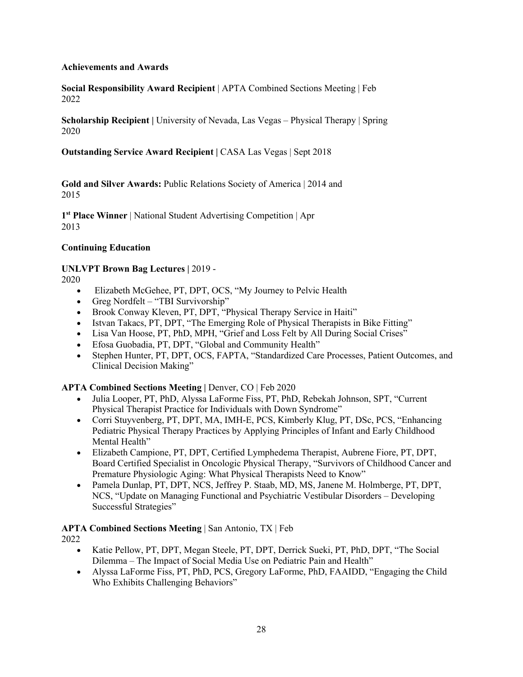#### **Achievements and Awards**

**Social Responsibility Award Recipient** | APTA Combined Sections Meeting | Feb 2022

**Scholarship Recipient** | University of Nevada, Las Vegas – Physical Therapy | Spring 2020

**Outstanding Service Award Recipient | CASA Las Vegas | Sept 2018** 

**Gold and Silver Awards:** Public Relations Society of America | 2014 and 2015

**1st Place Winner** | National Student Advertising Competition | Apr 2013

### **Continuing Education**

### **UNLVPT Brown Bag Lectures |** 2019 -

2020

- Elizabeth McGehee, PT, DPT, OCS, "My Journey to Pelvic Health
- Greg Nordfelt "TBI Survivorship"
- Brook Conway Kleven, PT, DPT, "Physical Therapy Service in Haiti"
- Istvan Takacs, PT, DPT, "The Emerging Role of Physical Therapists in Bike Fitting"
- Lisa Van Hoose, PT, PhD, MPH, "Grief and Loss Felt by All During Social Crises"
- Efosa Guobadia, PT, DPT, "Global and Community Health"
- Stephen Hunter, PT, DPT, OCS, FAPTA, "Standardized Care Processes, Patient Outcomes, and Clinical Decision Making"

### **APTA Combined Sections Meeting | Denver, CO | Feb 2020**

- Julia Looper, PT, PhD, Alyssa LaForme Fiss, PT, PhD, Rebekah Johnson, SPT, "Current Physical Therapist Practice for Individuals with Down Syndrome"
- Corri Stuyvenberg, PT, DPT, MA, IMH-E, PCS, Kimberly Klug, PT, DSc, PCS, "Enhancing Pediatric Physical Therapy Practices by Applying Principles of Infant and Early Childhood Mental Health"
- Elizabeth Campione, PT, DPT, Certified Lymphedema Therapist, Aubrene Fiore, PT, DPT, Board Certified Specialist in Oncologic Physical Therapy, "Survivors of Childhood Cancer and Premature Physiologic Aging: What Physical Therapists Need to Know"
- Pamela Dunlap, PT, DPT, NCS, Jeffrey P. Staab, MD, MS, Janene M. Holmberge, PT, DPT, NCS, "Update on Managing Functional and Psychiatric Vestibular Disorders – Developing Successful Strategies"

#### **APTA Combined Sections Meeting** | San Antonio, TX | Feb

2022

- Katie Pellow, PT, DPT, Megan Steele, PT, DPT, Derrick Sueki, PT, PhD, DPT, "The Social Dilemma – The Impact of Social Media Use on Pediatric Pain and Health"
- Alyssa LaForme Fiss, PT, PhD, PCS, Gregory LaForme, PhD, FAAIDD, "Engaging the Child Who Exhibits Challenging Behaviors"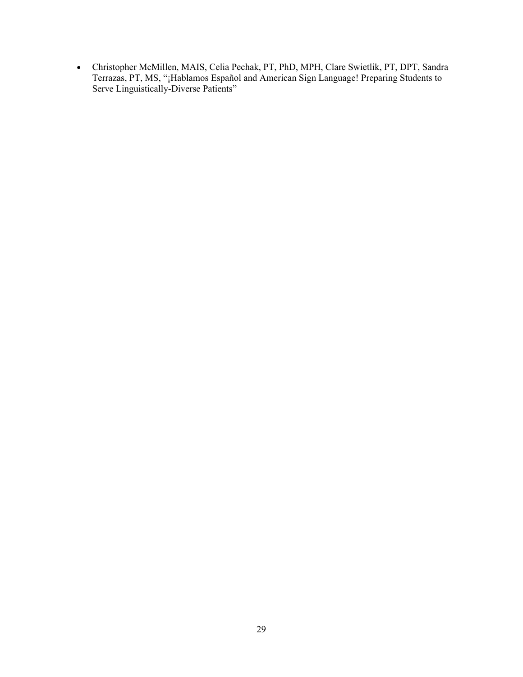• Christopher McMillen, MAIS, Celia Pechak, PT, PhD, MPH, Clare Swietlik, PT, DPT, Sandra Terrazas, PT, MS, "¡Hablamos Español and American Sign Language! Preparing Students to Serve Linguistically-Diverse Patients"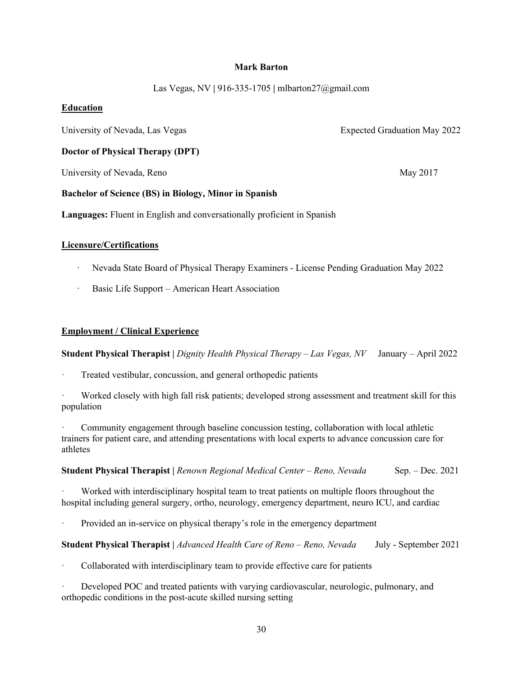#### **Mark Barton**

Las Vegas, NV **|** 916-335-1705 **|** mlbarton27@gmail.com

#### **Education**

University of Nevada, Las Vegas **Expected Graduation May 2022** 

**Doctor of Physical Therapy (DPT)**

University of Nevada, Reno May 2017

#### **Bachelor of Science (BS) in Biology, Minor in Spanish**

**Languages:** Fluent in English and conversationally proficient in Spanish

#### **Licensure/Certifications**

- · Nevada State Board of Physical Therapy Examiners License Pending Graduation May 2022
- Basic Life Support American Heart Association

#### **Employment / Clinical Experience**

**Student Physical Therapist |** *Dignity Health Physical Therapy – Las Vegas, NV* January – April 2022

Treated vestibular, concussion, and general orthopedic patients

Worked closely with high fall risk patients; developed strong assessment and treatment skill for this population

Community engagement through baseline concussion testing, collaboration with local athletic trainers for patient care, and attending presentations with local experts to advance concussion care for athletes

**Student Physical Therapist |** *Renown Regional Medical Center – Reno, Nevada* Sep. – Dec. 2021

Worked with interdisciplinary hospital team to treat patients on multiple floors throughout the hospital including general surgery, ortho, neurology, emergency department, neuro ICU, and cardiac

Provided an in-service on physical therapy's role in the emergency department

#### **Student Physical Therapist |** *Advanced Health Care of Reno – Reno, Nevada* July - September 2021

Collaborated with interdisciplinary team to provide effective care for patients

Developed POC and treated patients with varying cardiovascular, neurologic, pulmonary, and orthopedic conditions in the post-acute skilled nursing setting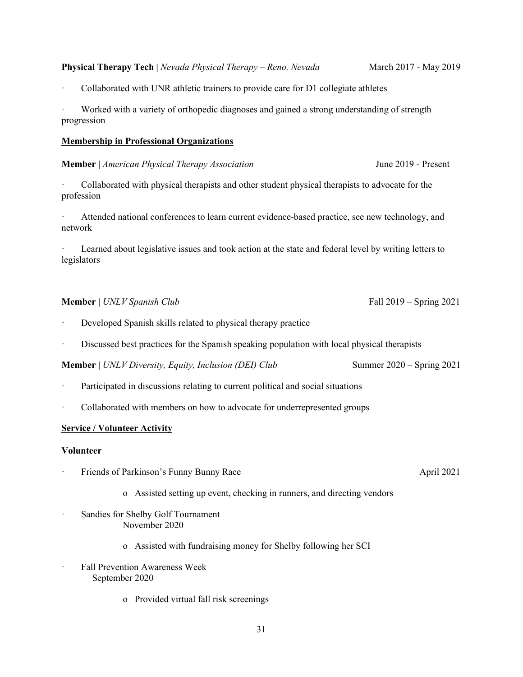#### **Physical Therapy Tech |** *Nevada Physical Therapy – Reno, Nevada* March 2017 - May 2019

Collaborated with UNR athletic trainers to provide care for D1 collegiate athletes

Worked with a variety of orthopedic diagnoses and gained a strong understanding of strength progression

#### **Membership in Professional Organizations**

#### **Member** | *American Physical Therapy Association* June 2019 - Present

· Collaborated with physical therapists and other student physical therapists to advocate for the profession

Attended national conferences to learn current evidence-based practice, see new technology, and network

Learned about legislative issues and took action at the state and federal level by writing letters to legislators

#### **Member** | *UNLV Spanish Club* Fall 2019 – Spring 2021

- Developed Spanish skills related to physical therapy practice
- Discussed best practices for the Spanish speaking population with local physical therapists

**Member** | *UNLV Diversity, Equity, Inclusion (DEI) Club* Summer 2020 – Spring 2021

- Participated in discussions relating to current political and social situations
- Collaborated with members on how to advocate for underrepresented groups

#### **Service / Volunteer Activity**

#### **Volunteer**

- Friends of Parkinson's Funny Bunny Race April 2021
	- o Assisted setting up event, checking in runners, and directing vendors
- · Sandies for Shelby Golf Tournament November 2020
	- o Assisted with fundraising money for Shelby following her SCI
- Fall Prevention Awareness Week September 2020
	- o Provided virtual fall risk screenings